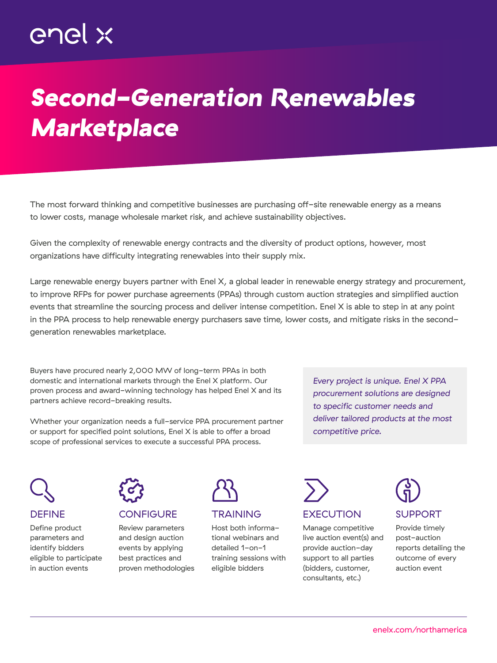# *Second-Generation Renewables Marketplace*

The most forward thinking and competitive businesses are purchasing off-site renewable energy as a means to lower costs, manage wholesale market risk, and achieve sustainability objectives.

Given the complexity of renewable energy contracts and the diversity of product options, however, most organizations have difficulty integrating renewables into their supply mix.

Large renewable energy buyers partner with Enel X, a global leader in renewable energy strategy and procurement, to improve RFPs for power purchase agreements (PPAs) through custom auction strategies and simplified auction events that streamline the sourcing process and deliver intense competition. Enel X is able to step in at any point in the PPA process to help renewable energy purchasers save time, lower costs, and mitigate risks in the secondgeneration renewables marketplace.

Buyers have procured nearly 2,000 MW of long-term PPAs in both domestic and international markets through the Enel X platform. Our proven process and award-winning technology has helped Enel X and its partners achieve record-breaking results.

Whether your organization needs a full-service PPA procurement partner or support for specified point solutions, Enel X is able to offer a broad scope of professional services to execute a successful PPA process.

*Every project is unique. Enel X PPA procurement solutions are designed to specific customer needs and deliver tailored products at the most competitive price.*

DEFINE

### Define product parameters and identify bidders eligible to participate in auction events



## CONFIGURE

Review parameters and design auction events by applying best practices and proven methodologies



## **TRAINING**

Host both informational webinars and detailed 1-on-1 training sessions with eligible bidders



## **EXECUTION**

Manage competitive live auction event(s) and provide auction-day support to all parties (bidders, customer, consultants, etc.)



Provide timely post-auction reports detailing the outcome of every auction event